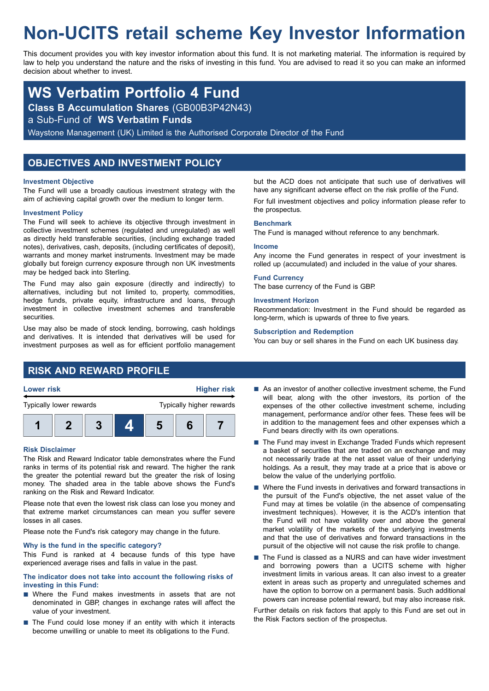# **Non-UCITS retail scheme Key Investor Information**

This document provides you with key investor information about this fund. It is not marketing material. The information is required by law to help you understand the nature and the risks of investing in this fund. You are advised to read it so you can make an informed decision about whether to invest.

## **WS Verbatim Portfolio 4 Fund**

**Class B Accumulation Shares** (GB00B3P42N43)

a Sub-Fund of **WS Verbatim Funds**

Waystone Management (UK) Limited is the Authorised Corporate Director of the Fund

## **OBJECTIVES AND INVESTMENT POLICY**

#### **Investment Objective**

The Fund will use a broadly cautious investment strategy with the aim of achieving capital growth over the medium to longer term.

#### **Investment Policy**

The Fund will seek to achieve its objective through investment in collective investment schemes (regulated and unregulated) as well as directly held transferable securities, (including exchange traded notes), derivatives, cash, deposits, (including certificates of deposit), warrants and money market instruments. Investment may be made globally but foreign currency exposure through non UK investments may be hedged back into Sterling.

The Fund may also gain exposure (directly and indirectly) to alternatives, including but not limited to, property, commodities, hedge funds, private equity, infrastructure and loans, through investment in collective investment schemes and transferable securities.

Use may also be made of stock lending, borrowing, cash holdings and derivatives. It is intended that derivatives will be used for investment purposes as well as for efficient portfolio management but the ACD does not anticipate that such use of derivatives will have any significant adverse effect on the risk profile of the Fund. For full investment objectives and policy information please refer to the prospectus.

#### **Benchmark**

The Fund is managed without reference to any benchmark.

#### **Income**

Any income the Fund generates in respect of your investment is rolled up (accumulated) and included in the value of your shares.

#### **Fund Currency**

The base currency of the Fund is GBP.

#### **Investment Horizon**

Recommendation: Investment in the Fund should be regarded as long-term, which is upwards of three to five years.

#### **Subscription and Redemption**

You can buy or sell shares in the Fund on each UK business day.

## **RISK AND REWARD PROFILE**



**1 2 3 4 5 6 7**

#### **Risk Disclaimer**

The Risk and Reward Indicator table demonstrates where the Fund ranks in terms of its potential risk and reward. The higher the rank the greater the potential reward but the greater the risk of losing money. The shaded area in the table above shows the Fund's ranking on the Risk and Reward Indicator.

Please note that even the lowest risk class can lose you money and that extreme market circumstances can mean you suffer severe losses in all cases.

Please note the Fund's risk category may change in the future.

#### **Why is the fund in the specific category?**

This Fund is ranked at 4 because funds of this type have experienced average rises and falls in value in the past.

#### **The indicator does not take into account the following risks of investing in this Fund:**

- $\blacksquare$  Where the Fund makes investments in assets that are not denominated in GBP, changes in exchange rates will affect the value of your investment.
- $\blacksquare$  The Fund could lose money if an entity with which it interacts become unwilling or unable to meet its obligations to the Fund.
- $\blacksquare$  As an investor of another collective investment scheme, the Fund will bear, along with the other investors, its portion of the expenses of the other collective investment scheme, including management, performance and/or other fees. These fees will be in addition to the management fees and other expenses which a Fund bears directly with its own operations.
- $\blacksquare$  The Fund may invest in Exchange Traded Funds which represent a basket of securities that are traded on an exchange and may not necessarily trade at the net asset value of their underlying holdings. As a result, they may trade at a price that is above or below the value of the underlying portfolio.
- $\blacksquare$  Where the Fund invests in derivatives and forward transactions in the pursuit of the Fund's objective, the net asset value of the Fund may at times be volatile (in the absence of compensating investment techniques). However, it is the ACD's intention that the Fund will not have volatility over and above the general market volatility of the markets of the underlying investments and that the use of derivatives and forward transactions in the pursuit of the objective will not cause the risk profile to change.
- The Fund is classed as a NURS and can have wider investment and borrowing powers than a UCITS scheme with higher investment limits in various areas. It can also invest to a greater extent in areas such as property and unregulated schemes and have the option to borrow on a permanent basis. Such additional powers can increase potential reward, but may also increase risk.

Further details on risk factors that apply to this Fund are set out in the Risk Factors section of the prospectus.